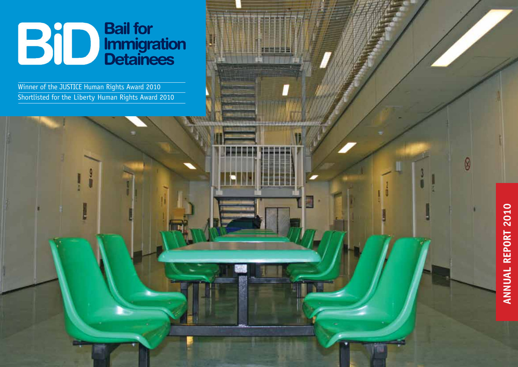# **Bail for<br>Immigration<br>Detainees** BiD

Wi nner of the JUSTICE Human Rights Award 2010 Shortlisted for the Liberty Human Rights Award 2010



 $\circledR$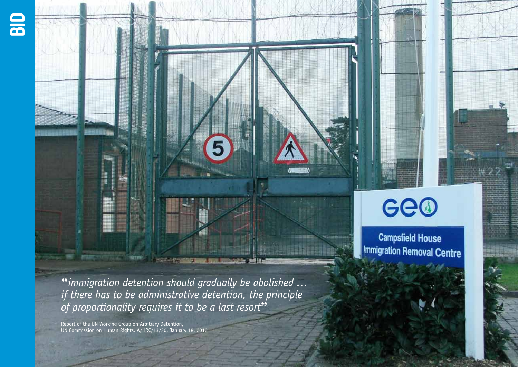



Ge@

**Campsfield House Immigration Removal Centre** 

"*immigration detention should gradually be abolished … if there has to be administrative detention, the principle*  of proportionality requires it to be a last resort<sup>33</sup>

Report of the UN Working Group on Arbitrary Detention, UN Commission on Human Rights, A/HRC/13/30, January 18, 2010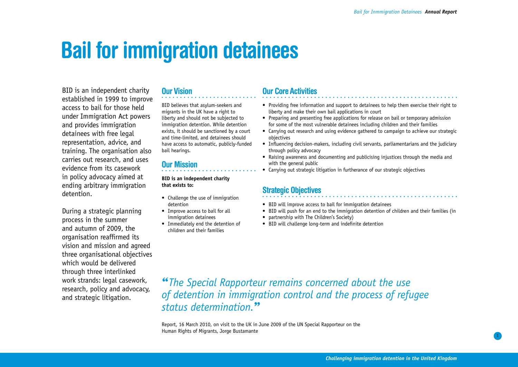## **Bail for immigration detainees**

BID is an independent charity established in 1999 to improve access to bail for those held under Immigration Act powers and provides immigration detainees with free legal representation, advice, and training. The organisation also carries out research, and uses evidence from its casework in policy advocacy aimed at ending arbitrary immigration detention.

During a strategic planning process in the summer and autumn of 2009, the organisation reaffirmed its vision and mission and agreed three organisational objectives which would be delivered through three interlinked work strands: legal casework, research, policy and advocacy, and strategic litigation.

### **Our Vision**

BID believes that asylum-seekers and migrants in the UK have a right to liberty and should not be subjected to immigration detention. While detention exists, it should be sanctioned by a court and time-limited, and detainees should have access to automatic, publicly-funded bail hearings.

## **Our Mission**

**BID is an independent charity that exists to:**

- Challenge the use of immigration detention
- Improve access to bail for all immigration detainees
- Immediately end the detention of children and their families

### **Our Core Activities**

- Providing free information and support to detainees to help them exercise their right to liberty and make their own bail applications in court
- Preparing and presenting free applications for release on bail or temporary admission for some of the most vulnerable detainees including children and their families
- • Carrying out research and using evidence gathered to campaign to achieve our strategic objectives
- Influencing decision-makers, including civil servants, parliamentarians and the judiciary through policy advocacy
- Raising awareness and documenting and publicising injustices through the media and with the general public
- Carrying out strategic litigation in furtherance of our strategic objectives

### **Strategic Objectives**

- BID will improve access to bail for immigration detainees
- • BID will push for an end to the immigration detention of children and their families (in
- partnership with The Children's Society)
- BID will challenge long-term and indefinite detention

"*The Special Rapporteur remains concerned about the use of detention in immigration control and the process of refugee status determination.*"

Report, 16 March 2010, on visit to the UK in June 2009 of the UN Special Rapporteur on the Human Rights of Migrants, Jorge Bustamante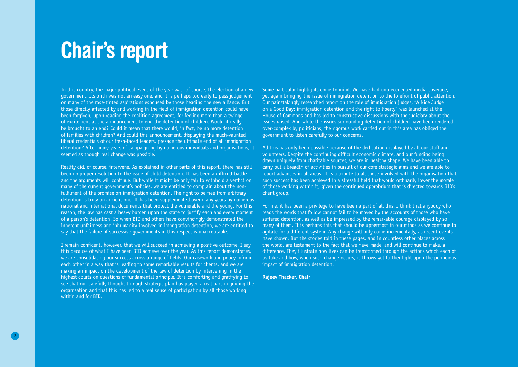## **Chair's report**

In this country, the major political event of the year was, of course, the election of a new government. Its birth was not an easy one, and it is perhaps too early to pass judgement on many of the rose-tinted aspirations espoused by those heading the new alliance. But those directly affected by and working in the field of immigration detention could have been forgiven, upon reading the coalition agreement, for feeling more than a twinge of excitement at the announcement to end the detention of children. Would it really be brought to an end? Could it mean that there would, in fact, be no more detention of families with children? And could this announcement, displaying the much-vaunted liberal credentials of our fresh-faced leaders, presage the ultimate end of all immigration detention? After many years of campaigning by numerous individuals and organisations, it seemed as though real change was possible.

Reality did, of course, intervene. As explained in other parts of this report, there has still been no proper resolution to the issue of child detention. It has been a difficult battle and the arguments will continue. But while it might be only fair to withhold a verdict on many of the current government's policies, we are entitled to complain about the nonfulfilment of the promise on immigration detention. The right to be free from arbitrary detention is truly an ancient one. It has been supplemented over many years by numerous national and international documents that protect the vulnerable and the young. For this reason, the law has cast a heavy burden upon the state to justify each and every moment of a person's detention. So when BID and others have convincingly demonstrated the inherent unfairness and inhumanity involved in immigration detention, we are entitled to say that the failure of successive governments in this respect is unacceptable.

I remain confident, however, that we will succeed in achieving a positive outcome. I say this because of what I have seen BID achieve over the year. As this report demonstrates, we are consolidating our success across a range of fields. Our casework and policy inform each other in a way that is leading to some remarkable results for clients, and we are making an impact on the development of the law of detention by intervening in the highest courts on questions of fundamental principle. It is comforting and gratifying to see that our carefully thought through strategic plan has played a real part in quiding the organisation and that this has led to a real sense of participation by all those working within and for BID.

Some particular highlights come to mind. We have had unprecedented media coverage, yet again bringing the issue of immigration detention to the forefront of public attention. Our painstakingly researched report on the role of immigration judges, "A Nice Judge on a Good Day: immigration detention and the right to liberty" was launched at the House of Commons and has led to constructive discussions with the judiciary about the issues raised. And while the issues surrounding detention of children have been rendered over-complex by politicians, the rigorous work carried out in this area has obliged the government to listen carefully to our concerns.

All this has only been possible because of the dedication displayed by all our staff and volunteers. Despite the continuing difficult economic climate, and our funding being drawn uniquely from charitable sources, we are in healthy shape. We have been able to carry out a breadth of activities in pursuit of our core strategic aims and we are able to report advances in all areas. It is a tribute to all those involved with the organisation that such success has been achieved in a stressful field that would ordinarily lower the morale of those working within it, given the continued opprobrium that is directed towards BID's client group.

For me, it has been a privilege to have been a part of all this. I think that anybody who reads the words that follow cannot fail to be moved by the accounts of those who have suffered detention, as well as be impressed by the remarkable courage displayed by so many of them. It is perhaps this that should be uppermost in our minds as we continue to agitate for a different system. Any change will only come incrementally, as recent events have shown. But the stories told in these pages, and in countless other places across the world, are testament to the fact that we have made, and will continue to make, a difference. They illustrate how lives can be transformed through the actions which each of us take and how, when such change occurs, it throws yet further light upon the pernicious impact of immigration detention.

**Rajeev Thacker, Chair**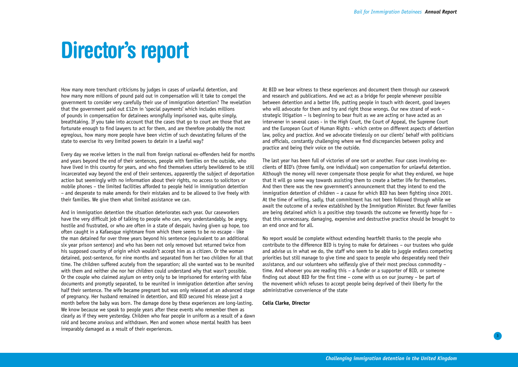## **Director's report**

How many more trenchant criticisms by judges in cases of unlawful detention, and how many more millions of pound paid out in compensation will it take to compel the government to consider very carefully their use of immigration detention? The revelation that the government paid out £12m in 'special payments' which includes millions of pounds in compensation for detainees wrongfully imprisoned was, quite simply, breathtaking. If you take into account that the cases that go to court are those that are fortunate enough to find lawyers to act for them, and are therefore probably the most egregious, how many more people have been victim of such devastating failures of the state to exercise its very limited powers to detain in a lawful way?

Every day we receive letters in the mail from foreign national ex-offenders held for months and years beyond the end of their sentences, people with families on the outside, who have lived in this country for years, and who find themselves utterly bewildered to be still incarcerated way beyond the end of their sentences, apparently the subject of deportation action but seemingly with no information about their rights, no access to solicitors or mobile phones – the limited facilities afforded to people held in immigration detention – and desperate to make amends for their mistakes and to be allowed to live freely with their families. We give them what limited assistance we can.

And in immigration detention the situation deteriorates each year. Our caseworkers have the very difficult job of talking to people who can, very understandably, be angry, hostile and frustrated, or who are often in a state of despair, having given up hope, too often caught in a Kafaesque nightmare from which there seems to be no escape - like the man detained for over three years beyond his sentence (equivalent to an additional six year prison sentence) and who has been not only removed but returned twice from his supposed country of origin which wouldn't accept him as a citizen. Or the woman detained, post-sentence, for nine months and separated from her two children for all that time. The children suffered acutely from the separation; all she wanted was to be reunited with them and neither she nor her children could understand why that wasn't possible. Or the couple who claimed asylum on entry only to be imprisoned for entering with false documents and promptly separated, to be reunited in immigration detention after serving half their sentence. The wife became pregnant but was only released at an advanced stage of pregnancy. Her husband remained in detention, and BID secured his release just a month before the baby was born. The damage done by these experiences are long-lasting. We know because we speak to people years after these events who remember them as clearly as if they were yesterday. Children who fear people in uniform as a result of a dawn raid and become anxious and withdrawn. Men and women whose mental health has been irreparably damaged as a result of their experiences.

At BID we bear witness to these experiences and document them through our casework and research and publications. And we act as a bridge for people whenever possible between detention and a better life, putting people in touch with decent, good lawyers who will advocate for them and try and right those wrongs. Our new strand of work – strategic litigation – is beginning to bear fruit as we are acting or have acted as an intervener in several cases - in the High Court, the Court of Appeal, the Supreme Court and the European Court of Human Rights - which centre on different aspects of detention law, policy and practice. And we advocate tirelessly on our clients' behalf with politicians and officials, constantly challenging where we find discrepancies between policy and practice and being their voice on the outside.

The last year has been full of victories of one sort or another. Four cases involving exclients of BID's (three family, one individual) won compensation for unlawful detention. Although the money will never compensate those people for what they endured, we hope that it will go some way towards assisting them to create a better life for themselves. And then there was the new government's announcement that they intend to end the immigration detention of children – a cause for which BID has been fighting since 2001. At the time of writing, sadly, that commitment has not been followed through while we await the outcome of a review established by the Immigration Minister. But fewer families are being detained which is a positive step towards the outcome we fervently hope for – that this unnecessary, damaging, expensive and destructive practice should be brought to an end once and for all.

No report would be complete without extending heartfelt thanks to the people who contribute to the difference BID is trying to make for detainees – our trustees who guide and advise us in what we do, the staff who seem to be able to juggle endless competing priorities but still manage to give time and space to people who desperately need their assistance, and our volunteers who selflessly give of their most precious commodity – time. And whoever you are reading this – a funder or a supporter of BID, or someone finding out about BID for the first time – come with us on our journey – be part of the movement which refuses to accept people being deprived of their liberty for the administrative convenience of the state

#### **Celia Clarke, Director**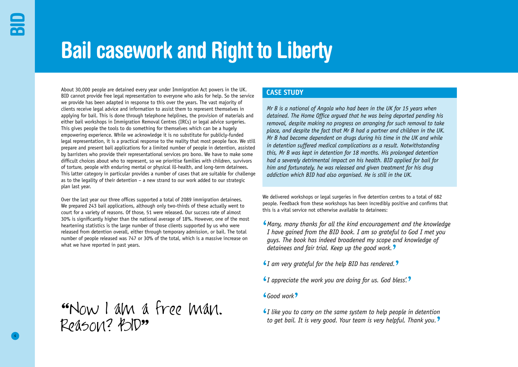# **Bail casework and Right to Liberty**

About 30,000 people are detained every year under Immigration Act powers in the UK. BID cannot provide free legal representation to everyone who asks for help. So the service we provide has been adapted in response to this over the years. The vast majority of clients receive legal advice and information to assist them to represent themselves in applying for bail. This is done through telephone helplines, the provision of materials and either bail workshops in Immigration Removal Centres (IRCs) or legal advice surgeries. This gives people the tools to do something for themselves which can be a hugely empowering experience. While we acknowledge it is no substitute for publicly-funded legal representation, it is a practical response to the reality that most people face. We still prepare and present bail applications for a limited number of people in detention, assisted by barristers who provide their representational services pro bono. We have to make some difficult choices about who to represent, so we prioritise families with children, survivors of torture, people with enduring mental or physical ill-health, and long-term detainees. This latter category in particular provides a number of cases that are suitable for challenge as to the legality of their detention – a new strand to our work added to our strategic plan last year.

Over the last year our three offices supported a total of 2089 immigration detainees. We prepared 243 bail applications, although only two-thirds of these actually went to court for a variety of reasons. Of those, 51 were released. Our success rate of almost 30% is significantly higher than the national average of 18%. However, one of the most heartening statistics is the large number of those clients supported by us who were released from detention overall, either through temporary admission, or bail. The total number of people released was 747 or 30% of the total, which is a massive increase on what we have reported in past years.

"Now I am a tree man. Reason? POID"

### **CASE STUDY**

*Mr B is a national of Angola who had been in the UK for 15 years when detained. The Home Office argued that he was being deported pending his removal, despite making no progress on arranging for such removal to take place, and despite the fact that Mr B had a partner and children in the UK. Mr B had become dependent on drugs during his time in the UK and while in detention suffered medical complications as a result. Notwithstanding this, Mr B was kept in detention for 18 months. His prolonged detention had a severely detrimental impact on his health. BID applied for bail for him and fortunately, he was released and given treatment for his drug addiction which BID had also organised. He is still in the UK.*

We delivered workshops or legal surgeries in five detention centres to a total of 682 people. Feedback from these workshops has been incredibly positive and confirms that this is a vital service not otherwise available to detainees:

**'** *Many, many thanks for all the kind encouragement and the knowledge I have gained from the BID book. I am so grateful to God I met you guys. The book has indeed broadened my scope and knowledge of detainees and fair trial. Keep up the good work.***'**

**'** *I am very grateful for the help BID has rendered.* **'**

- **'** *I appreciate the work you are doing for us. God bless'.***'**
- **'** *Good work* **'**
- **'** *I like you to carry on the same system to help people in detention to get bail. It is very good. Your team is very helpful. Thank you.***'**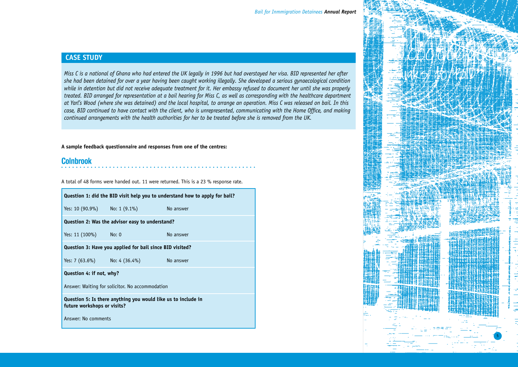### **CASE STUDY**

*Miss C is a national of Ghana who had entered the UK legally in 1996 but had overstayed her visa. BID represented her after she had been detained for over a year having been caught working illegally. She developed a serious gynaecological condition while in detention but did not receive adequate treatment for it. Her embassy refused to document her until she was properly treated. BID arranged for representation at a bail hearing for Miss C, as well as corresponding with the healthcare department at Yarl's Wood (where she was detained) and the local hospital, to arrange an operation. Miss C was released on bail. In this case, BID continued to have contact with the client, who is unrepresented, communicating with the Home Office, and making continued arrangements with the health authorities for her to be treated before she is removed from the UK.* 

#### **A sample feedback questionnaire and responses from one of the centres:**

### **Colnbrook**

A total of 48 forms were handed out. 11 were returned. This is a 23 % response rate.

| Question 1: did the BID visit help you to understand how to apply for bail?                  |                                        |           |  |  |  |  |
|----------------------------------------------------------------------------------------------|----------------------------------------|-----------|--|--|--|--|
|                                                                                              | Yes: 10 (90.9%) No: 1 (9.1%)           | No answer |  |  |  |  |
| Question 2: Was the advisor easy to understand?                                              |                                        |           |  |  |  |  |
| Yes: 11 (100%) No: 0                                                                         |                                        | No answer |  |  |  |  |
| Question 3: Have you applied for bail since BID visited?                                     |                                        |           |  |  |  |  |
|                                                                                              | Yes: 7 (63.6%) No: 4 (36.4%) No answer |           |  |  |  |  |
| Question 4: if not, why?                                                                     |                                        |           |  |  |  |  |
| Answer: Waiting for solicitor. No accommodation                                              |                                        |           |  |  |  |  |
| Question 5: Is there anything you would like us to include in<br>future workshops or visits? |                                        |           |  |  |  |  |
| Answer: No comments                                                                          |                                        |           |  |  |  |  |

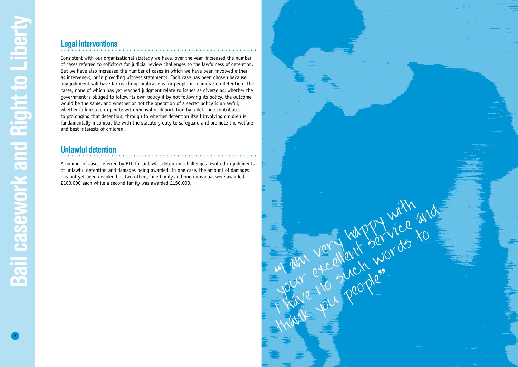## **Legal interventions**

Consistent with our organisational strategy we have, over the year, increased the number of cases referred to solicitors for judicial review challenges to the lawfulness of detention. But we have also increased the number of cases in which we have been involved either as interveners, or in providing witness statements. Each case has been chosen because any judgment will have far-reaching implications for people in immigration detention. The cases, none of which has yet reached judgment relate to issues as diverse as: whether the government is obliged to follow its own policy if by not following its policy, the outcome would be the same, and whether or not the operation of a secret policy is unlawful; whether failure to co-operate with removal or deportation by a detainee contributes to prolonging that detention, through to whether detention itself involving children is fundamentally incompatible with the statutory duty to safeguard and promote the welfare and best interests of children.

### **Unlawful detention**

A number of cases referred by BID for unlawful detention challenges resulted in judgments of unlawful detention and damages being awarded. In one case, the amount of damages has not yet been decided but two others, one family and one individual were awarded £100,000 each while a second family was awarded £150,000.

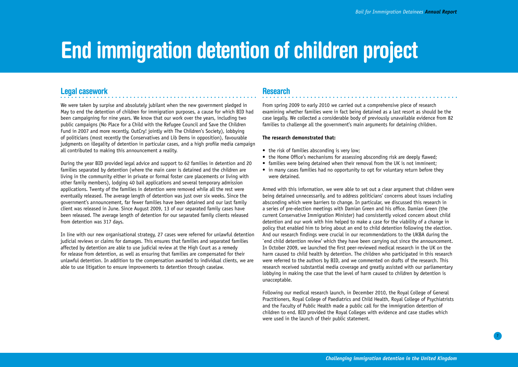## **End immigration detention of children project**

### **Legal casework**

We were taken by surpise and absolutely jubilant when the new government pledged in May to end the detention of children for immigration purposes, a cause for which BID had been campaigning for nine years. We know that our work over the years, including two public campaigns (No Place for a Child with the Refugee Council and Save the Children Fund in 2007 and more recently, OutCry! jointly with The Children's Society), lobbying of politicians (most recently the Conservatives and Lib Dems in opposition), favourable judgments on illegality of detention in particular cases, and a high profile media campaign all contributed to making this announcement a reality.

During the year BID provided legal advice and support to 62 families in detention and 20 families separated by detention (where the main carer is detained and the children are living in the community either in private or formal foster care placements or living with other family members), lodging 40 bail applications and several temporary admission applications. Twenty of the families in detention were removed while all the rest were eventually released. The average length of detention was just over six weeks. Since the government's announcement, far fewer families have been detained and our last family client was released in June. Since August 2009, 13 of our separated family cases have been released. The average length of detention for our separated family clients released from detention was 317 days.

In line with our new organisational strategy, 27 cases were referred for unlawful detention judicial reviews or claims for damages. This ensures that families and separated families affected by detention are able to use judicial review at the High Court as a remedy for release from detention, as well as ensuring that families are compensated for their unlawful detention. In addition to the compensation awarded to individual clients, we are able to use litigation to ensure improvements to detention through caselaw.

## **Research**

From spring 2009 to early 2010 we carried out a comprehensive piece of research examining whether families were in fact being detained as a last resort as should be the case legally. We collected a considerable body of previously unavailable evidence from 82 families to challenge all the government's main arguments for detaining children.

#### **The research demonstrated that:**

- the risk of families absconding is very low;
- the Home Office's mechanisms for assessing absconding risk are deeply flawed;
- families were being detained when their removal from the UK is not imminent:
- in many cases families had no opportunity to opt for voluntary return before they were detained.

Armed with this information, we were able to set out a clear argument that children were being detained unnecessarily, and to address politicians' concerns about issues including absconding which were barriers to change. In particular, we discussed this research in a series of pre-election meetings with Damian Green and his office. Damian Green (the current Conservative Immigration Minister) had consistently voiced concern about child detention and our work with him helped to make a case for the viability of a change in policy that enabled him to bring about an end to child detention following the election. And our research findings were crucial in our recommendations to the UKBA during the `end child detention review' which they have been carrying out since the announcement. In October 2009, we launched the first peer-reviewed medical research in the UK on the harm caused to child health by detention. The children who participated in this research were referred to the authors by BID, and we commented on drafts of the research. This research received substantial media coverage and greatly assisted with our parliamentary lobbying in making the case that the level of harm caused to children by detention is unacceptable.

Following our medical research launch, in December 2010, the Royal College of General Practitioners, Royal College of Paediatrics and Child Health, Royal College of Psychiatrists and the Faculty of Public Health made a public call for the immigration detention of children to end. BID provided the Royal Colleges with evidence and case studies which were used in the launch of their public statement.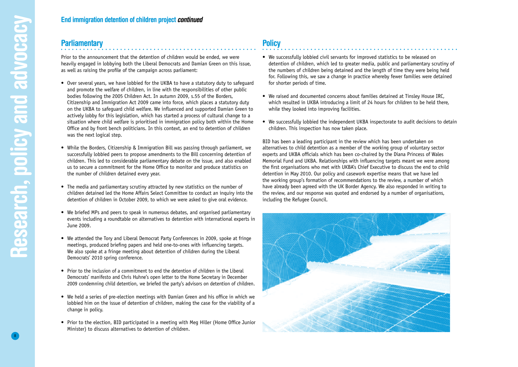8

### **Parliamentary**

Prior to the announcement that the detention of children would be ended, we were heavily engaged in lobbying both the Liberal Democrats and Damian Green on this issue, as well as raising the profile of the campaign across parliament:

- Over several years, we have lobbied for the UKBA to have a statutory duty to safequard and promote the welfare of children, in line with the responsibilities of other public bodies following the 2005 Children Act. In autumn 2009, s.55 of the Borders, Citizenship and Immigration Act 2009 came into force, which places a statutory duty on the UKBA to safeguard child welfare. We influenced and supported Damian Green to actively lobby for this legislation, which has started a process of cultural change to a situation where child welfare is prioritised in immigration policy both within the Home Office and by front bench politicians. In this context, an end to detention of children was the next logical step.
- While the Borders, Citizenship & Immigration Bill was passing through parliament, we successfully lobbied peers to propose amendments to the Bill concerning detention of children. This led to considerable parliamentary debate on the issue, and also enabled us to secure a commitment for the Home Office to monitor and produce statistics on the number of children detained every year.
- The media and parliamentary scrutiny attracted by new statistics on the number of children detained led the Home Affairs Select Committee to conduct an inquiry into the detention of children in October 2009, to which we were asked to give oral evidence.
- We briefed MPs and peers to speak in numerous debates, and organised parliamentary events including a roundtable on alternatives to detention with international experts in June 2009.
- We attended the Tory and Liberal Democrat Party Conferences in 2009, spoke at fringe meetings, produced briefing papers and held one-to-ones with influencing targets. We also spoke at a fringe meeting about detention of children during the Liberal Democrats' 2010 spring conference.
- Prior to the inclusion of a commitment to end the detention of children in the Liberal Democrats' manifesto and Chris Huhne's open letter to the Home Secretary in December 2009 condemning child detention, we briefed the party's advisors on detention of children.
- We held a series of pre-election meetings with Damian Green and his office in which we lobbied him on the issue of detention of children, making the case for the viability of a change in policy.
- • Prior to the election, BID participated in a meeting with Meg Hiller (Home Office Junior Minister) to discuss alternatives to detention of children.

## **Policy**

- We successfully lobbied civil servants for improved statistics to be released on detention of children, which led to greater media, public and parliamentary scrutiny of the numbers of children being detained and the length of time they were being held for. Following this, we saw a change in practice whereby fewer families were detained for shorter periods of time.
- We raised and documented concerns about families detained at Tinsley House IRC, which resulted in UKBA introducing a limit of 24 hours for children to be held there, while they looked into improving facilities.
- We successfully lobbied the independent UKBA inspectorate to audit decisions to detain children. This inspection has now taken place.

BID has been a leading participant in the review which has been undertaken on alternatives to child detention as a member of the working group of voluntary sector experts and UKBA officials which has been co-chaired by the Diana Princess of Wales Memorial Fund and UKBA. Relationships with influencing targets meant we were among the first organisations who met with UKBA's Chief Executive to discuss the end to child detention in May 2010. Our policy and casework expertise means that we have led the working group's formation of recommendations to the review, a number of which have already been agreed with the UK Border Agency. We also responded in writing to the review, and our response was quoted and endorsed by a number of organisations, including the Refugee Council.

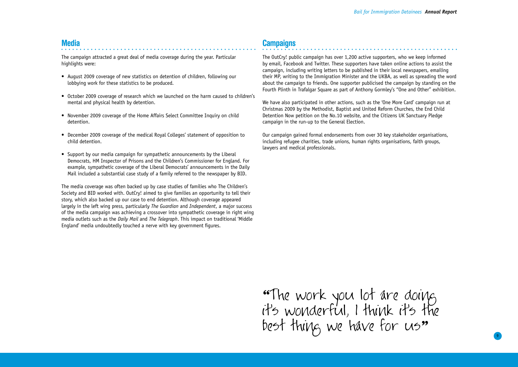### **Media**

The campaign attracted a great deal of media coverage during the year. Particular highlights were:

- August 2009 coverage of new statistics on detention of children, following our lobbying work for these statistics to be produced.
- October 2009 coverage of research which we launched on the harm caused to children's mental and physical health by detention.
- November 2009 coverage of the Home Affairs Select Committee Inquiry on child detention.
- December 2009 coverage of the medical Royal Colleges' statement of opposition to child detention.
- Support by our media campaign for sympathetic announcements by the Liberal Democrats, HM Inspector of Prisons and the Children's Commissioner for England. For example, sympathetic coverage of the Liberal Democrats' announcements in the Daily Mail included a substantial case study of a family referred to the newspaper by BID.

The media coverage was often backed up by case studies of families who The Children's Society and BID worked with. OutCry! aimed to give families an opportunity to tell their story, which also backed up our case to end detention. Although coverage appeared largely in the left wing press, particularly *The Guardian* and *Independent*, a major success of the media campaign was achieving a crossover into sympathetic coverage in right wing media outlets such as the *Daily Mail* and *The Telegraph*. This impact on traditional 'Middle England' media undoubtedly touched a nerve with key government figures.

## **Campaigns**

The OutCry! public campaign has over 1,200 active supporters, who we keep informed by email, Facebook and Twitter. These supporters have taken online actions to assist the campaign, including writing letters to be published in their local newspapers, emailing their MP, writing to the Immigration Minister and the UKBA, as well as spreading the word about the campaign to friends. One supporter publicised the campaign by standing on the Fourth Plinth in Trafalgar Square as part of Anthony Gormley's "One and Other" exhibition.

We have also participated in other actions, such as the 'One More Card' campaign run at Christmas 2009 by the Methodist, Baptist and United Reform Churches, the End Child Detention Now petition on the No.10 website, and the Citizens UK Sanctuary Pledge campaign in the run-up to the General Election.

Our campaign gained formal endorsements from over 30 key stakeholder organisations, including refugee charities, trade unions, human rights organisations, faith groups, lawyers and medical professionals.

"The work you lot are doing it's wonderful, I think it's the best thing we have for us"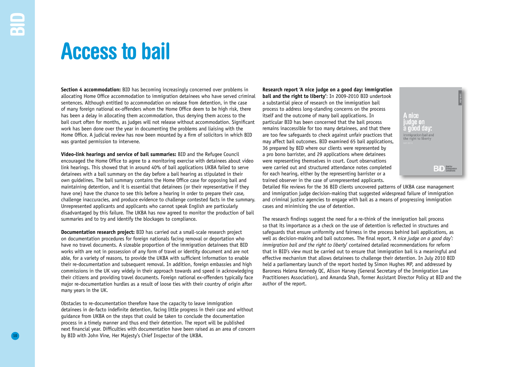## **Access to bail**

**Section 4 accommodation:** BID has becoming increasingly concerned over problems in allocating Home Office accommodation to immigration detainees who have served criminal sentences. Although entitled to accommodation on release from detention, in the case of many foreign national ex-offenders whom the Home Office deem to be high risk, there has been a delay in allocating them accommodation, thus denying them access to the bail court often for months, as judges will not release without accommodation. Significant work has been done over the year in documenting the problems and liaising with the Home Office. A judicial review has now been mounted by a firm of solicitors in which BID was granted permission to intervene.

**Video-link hearings and service of bail summaries:** BID and the Refugee Council encouraged the Home Office to agree to a monitoring exercise with detainees about video link hearings. This showed that in around 40% of bail applications UKBA failed to serve detainees with a bail summary on the day before a bail hearing as stipulated in their own guidelines. The bail summary contains the Home Office case for opposing bail and maintaining detention, and it is essential that detainees (or their representative if they have one) have the chance to see this before a hearing in order to prepare their case, challenge inaccuracies, and produce evidence to challenge contested facts in the summary. Unrepresented applicants and applicants who cannot speak English are particularly disadvantaged by this failure. The UKBA has now agreed to monitor the production of bail summaries and to try and identify the blockages to compliance.

**Documentation research project:** BID has carried out a small-scale research project on documentation procedures for foreign nationals facing removal or deportation who have no travel documents. A sizeable proportion of the immigration detainees that BID works with are not in possession of any form of travel or identity document and are not able, for a variety of reasons, to provide the UKBA with sufficient information to enable their re-documentation and subsequent removal. In addition, foreign embassies and high commissions in the UK vary widely in their approach towards and speed in acknowledging their citizens and providing travel documents. Foreign national ex-offenders typically face major re-documentation hurdles as a result of loose ties with their country of origin after many years in the UK.

Obstacles to re-documentation therefore have the capacity to leave immigration detainees in de-facto indefinite detention, facing little progress in their case and without guidance from UKBA on the steps that could be taken to conclude the documentation process in a timely manner and thus end their detention. The report will be published next financial year. Difficulties with documentation have been raised as an area of concern by BID with John Vine, Her Majesty's Chief Inspector of the UKBA.

**Research report 'A nice judge on a good day: immigration bail and the right to liberty'**: In 2009-2010 BID undertook a substantial piece of research on the immigration bail process to address long-standing concerns on the process itself and the outcome of many bail applications. In particular BID has been concerned that the bail process remains inaccessible for too many detainees, and that there are too few safeguards to check against unfair practices that may affect bail outcomes. BID examined 65 bail applications, 36 prepared by BID where our clients were represented by a pro bono barrister, and 29 applications where detainees were representing themselves in court. Court observations were carried out and structured attendance notes completed for each hearing, either by the representing barrister or a trained observer in the case of unrepresented applicants.



Detailed file reviews for the 36 BID clients uncovered patterns of UKBA case management and immigration judge decision-making that suggested widespread failure of immigration and criminal justice agencies to engage with bail as a means of progressing immigration cases and minimising the use of detention.

The research findings suggest the need for a re-think of the immigration bail process so that its importance as a check on the use of detention is reflected in structures and safeguards that ensure uniformity and fairness in the process behind bail applications, as well as decision-making and bail outcomes. The final report, *'A nice judge on a good day': immigration bail and the right to liberty*' contained detailed recommendations for reform that in BID's view must be carried out to ensure that immigration bail is a meaningful and effective mechanism that allows detainees to challenge their detention. In July 2010 BID held a parliamentary launch of the report hosted by Simon Hughes MP, and addressed by Baroness Helena Kennedy QC, Alison Harvey (General Secretary of the Immigration Law Practitioners Association), and Amanda Shah, former Assistant Director Policy at BID and the author of the report.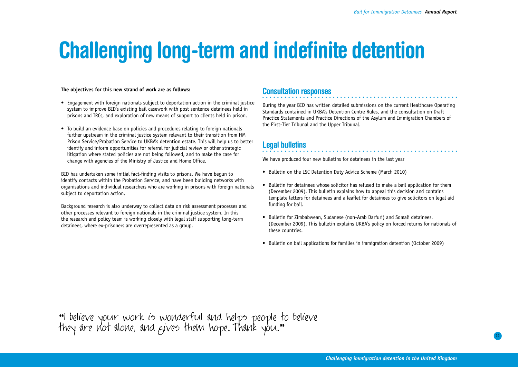# **Challenging long-term and indefinite detention**

#### **The objectives for this new strand of work are as follows:**

- Engagement with foreign nationals subject to deportation action in the criminal justice system to improve BID's existing bail casework with post sentence detainees held in prisons and IRCs, and exploration of new means of support to clients held in prison.
- To build an evidence base on policies and procedures relating to foreign nationals further upstream in the criminal justice system relevant to their transition from HM Prison Service/Probation Service to UKBA's detention estate. This will help us to better identify and inform opportunities for referral for judicial review or other strategic litigation where stated policies are not being followed, and to make the case for change with agencies of the Ministry of Justice and Home Office.

BID has undertaken some initial fact-finding visits to prisons. We have begun to identify contacts within the Probation Service, and have been building networks with organisations and individual researchers who are working in prisons with foreign nationals subject to deportation action.

Background research is also underway to collect data on risk assessment processes and other processes relevant to foreign nationals in the criminal justice system. In this the research and policy team is working closely with legal staff supporting long-term detainees, where ex-prisoners are overrepresented as a group.

### **Consultation responses**

During the year BID has written detailed submissions on the current Healthcare Operating Standards contained in UKBA's Detention Centre Rules, and the consultation on Draft Practice Statements and Practice Directions of the Asylum and Immigration Chambers of the First-Tier Tribunal and the Upper Tribunal.

### **Legal bulletins**

We have produced four new bulletins for detainees in the last year

- Bulletin on the LSC Detention Duty Advice Scheme (March 2010)
- • Bulletin for detainees whose solicitor has refused to make a bail application for them (December 2009). This bulletin explains how to appeal this decision and contains template letters for detainees and a leaflet for detainees to give solicitors on legal aid funding for bail.
- Bulletin for Zimbabwean, Sudanese (non-Arab Darfuri) and Somali detainees. (December 2009). This bulletin explains UKBA's policy on forced returns for nationals of these countries.
- Bulletin on bail applications for families in immigration detention (October 2009)

"I believe your work is wonderful and helps people to believe they are not alone, and gives them hope. Thank you."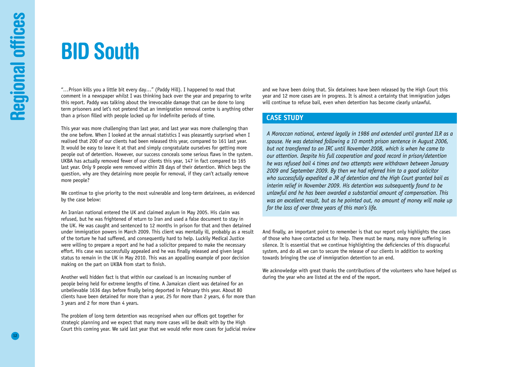## **BID South**

"…Prison kills you a little bit every day…" (Paddy Hill). I happened to read that comment in a newspaper whilst I was thinking back over the year and preparing to write this report. Paddy was talking about the irrevocable damage that can be done to long term prisoners and let's not pretend that an immigration removal centre is anything other than a prison filled with people locked up for indefinite periods of time.

This year was more challenging than last year, and last year was more challenging than the one before. When I looked at the annual statistics I was pleasantly surprised when I realised that 200 of our clients had been released this year, compared to 161 last year. It would be easy to leave it at that and simply congratulate ourselves for getting more people out of detention. However, our success conceals some serious flaws in the system. UKBA has actually removed fewer of our clients this year, 147 in fact compared to 165 last year. Only 9 people were removed within 28 days of their detention. Which begs the question, why are they detaining more people for removal, if they can't actually remove more people?

We continue to give priority to the most vulnerable and long-term detainees, as evidenced by the case below:

An Iranian national entered the UK and claimed asylum in May 2005. His claim was refused, but he was frightened of return to Iran and used a false document to stay in the UK. He was caught and sentenced to 12 months in prison for that and then detained under immigration powers in March 2009. This client was mentally ill, probably as a result of the torture he had suffered, and consequently hard to help. Luckily Medical Justice were willing to prepare a report and he had a solicitor prepared to make the necessary effort. His case was successfully appealed and he was finally released and given legal status to remain in the UK in May 2010. This was an appalling example of poor decision making on the part on UKBA from start to finish.

Another well hidden fact is that within our caseload is an increasing number of people being held for extreme lengths of time. A Jamaican client was detained for an unbelievable 1636 days before finally being deported in February this year. About 80 clients have been detained for more than a year, 25 for more than 2 years, 6 for more than 3 years and 2 for more than 4 years.

The problem of long term detention was recognised when our offices got together for strategic planning and we expect that many more cases will be dealt with by the High Court this coming year. We said last year that we would refer more cases for judicial review and we have been doing that. Six detainees have been released by the High Court this year and 12 more cases are in progress. It is almost a certainty that immigration judges will continue to refuse bail, even when detention has become clearly unlawful.

#### **CASE STUDY**

*A Moroccan national, entered legally in 1986 and extended until granted ILR as a spouse. He was detained following a 10 month prison sentence in August 2006, but not transferred to an IRC until November 2008, which is when he came to our attention. Despite his full cooperation and good record in prison/detention he was refused bail 4 times and two attempts were withdrawn between January 2009 and September 2009. By then we had referred him to a good solicitor who successfully expedited a JR of detention and the High Court granted bail as interim relief in November 2009. His detention was subsequently found to be unlawful and he has been awarded a substantial amount of compensation. This was an excellent result, but as he pointed out, no amount of money will make up for the loss of over three years of this man's life.*

And finally, an important point to remember is that our report only highlights the cases of those who have contacted us for help. There must be many, many more suffering in silence. It is essential that we continue highlighting the deficiencies of this disgraceful system, and do all we can to secure the release of our clients in addition to working towards bringing the use of immigration detention to an end.

We acknowledge with great thanks the contributions of the volunteers who have helped us during the year who are listed at the end of the report.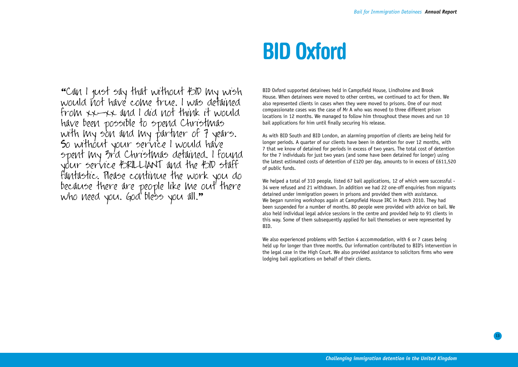## **BID Oxford**

"Can I just say that without BID my wish would not have come true. I was detained from xx-xx and I did not think it would have been possible to spend Christmas with my son and my partner of 7 years. So without your service I would have spent my 3rd Christmas detained. I found your service BRILLIANT and the BID staff fantastic. Please continue the work you do because there are people like me out there who need you. God bless you all."

BID Oxford supported detainees held in Campsfield House, Lindholme and Brook House. When detainees were moved to other centres, we continued to act for them. We also represented clients in cases when they were moved to prisons. One of our most compassionate cases was the case of Mr A who was moved to three different prison locations in 12 months. We managed to follow him throughout these moves and run 10 bail applications for him until finally securing his release.

As with BID South and BID London, an alarming proportion of clients are being held for longer periods. A quarter of our clients have been in detention for over 12 months, with 7 that we know of detained for periods in excess of two years. The total cost of detention for the 7 individuals for just two years (and some have been detained for longer) using the latest estimated costs of detention of £120 per day, amounts to in excess of £611,520 of public funds.

We helped a total of 310 people, listed 67 bail applications, 12 of which were successful - 34 were refused and 21 withdrawn. In addition we had 22 one-off enquiries from migrants detained under immigration powers in prisons and provided them with assistance. We began running workshops again at Campsfield House IRC in March 2010. They had been suspended for a number of months. 80 people were provided with advice on bail. We also held individual legal advice sessions in the centre and provided help to 91 clients in this way. Some of them subsequently applied for bail themselves or were represented by BID.

We also experienced problems with Section 4 accommodation, with 6 or 7 cases being held up for longer than three months. Our information contributed to BID's intervention in the legal case in the High Court. We also provided assistance to solicitors firms who were lodging bail applications on behalf of their clients.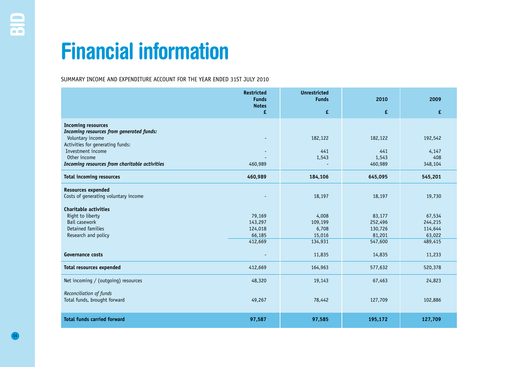## **Financial information**

SUMMARY INCOME AND EXPENDITURE ACCOUNT FOR THE YEAR ENDED 31ST JULY 2010

|                                                              | <b>Restricted</b><br><b>Funds</b><br><b>Notes</b> | <b>Unrestricted</b><br><b>Funds</b> | 2010              | 2009              |
|--------------------------------------------------------------|---------------------------------------------------|-------------------------------------|-------------------|-------------------|
|                                                              | £                                                 | £                                   | £                 | £                 |
| <b>Incoming resources</b>                                    |                                                   |                                     |                   |                   |
| Incoming resources from generated funds:<br>Voluntary income |                                                   | 182,122                             | 182,122           | 192,542           |
| Activities for generating funds:                             |                                                   |                                     |                   |                   |
| Investment income                                            |                                                   | 441                                 | 441               | 4,147             |
| Other income                                                 |                                                   | 1,543                               | 1,543             | 408               |
| Incoming resources from charitable activities                | 460,989                                           |                                     | 460,989           | 348,104           |
| <b>Total incoming resources</b>                              | 460,989                                           | 184,106                             | 645,095           | 545,201           |
| <b>Resources expended</b>                                    |                                                   |                                     |                   |                   |
| Costs of generating voluntary income                         |                                                   | 18,197                              | 18,197            | 19,730            |
| <b>Charitable activities</b>                                 |                                                   |                                     |                   |                   |
| Right to liberty                                             | 79,169                                            | 4,008                               | 83,177            | 67,534            |
| Bail casework                                                | 143,297                                           | 109,199                             | 252,496           | 244,215           |
| Detained families<br>Research and policy                     | 124,018<br>66,185                                 | 6,708<br>15,016                     | 130,726<br>81,201 | 114,644<br>63,022 |
|                                                              | 412,669                                           | 134,931                             | 547,600           | 489,415           |
|                                                              |                                                   |                                     |                   |                   |
| <b>Governance costs</b>                                      |                                                   | 11,835                              | 14,835            | 11,233            |
| <b>Total resources expended</b>                              | 412,669                                           | 164,963                             | 577,632           | 520,378           |
| Net incoming / (outgoing) resources                          | 48,320                                            | 19,143                              | 67,463            | 24,823            |
| Reconciliation of funds                                      |                                                   |                                     |                   |                   |
| Total funds, brought forward                                 | 49,267                                            | 78,442                              | 127,709           | 102,886           |
| <b>Total funds carried forward</b>                           | 97,587                                            | 97,585                              | 195,172           | 127,709           |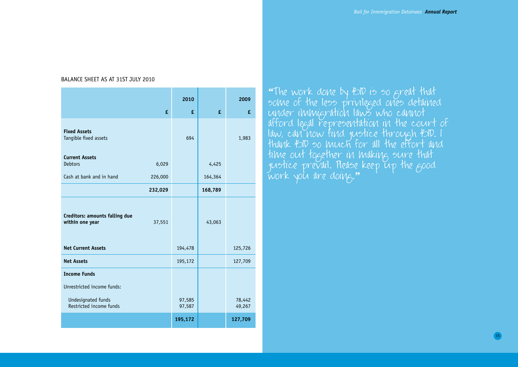#### BALANCE SHEET AS AT 31ST JULY 2010

|                                                   |         | 2010             |         | 2009             |
|---------------------------------------------------|---------|------------------|---------|------------------|
|                                                   | £       | £                | £       | £                |
| <b>Fixed Assets</b><br>Tangible fixed assets      |         | 694              |         | 1,983            |
| <b>Current Assets</b><br><b>Debtors</b>           | 6,029   |                  | 4,425   |                  |
| Cash at bank and in hand                          | 226,000 |                  | 164,364 |                  |
|                                                   | 232,029 |                  | 168,789 |                  |
| Creditors: amounts falling due<br>within one year | 37,551  |                  | 43,063  |                  |
| <b>Net Current Assets</b>                         |         | 194,478          |         | 125,726          |
| <b>Net Assets</b>                                 |         | 195,172          |         | 127,709          |
| <b>Income Funds</b>                               |         |                  |         |                  |
| Unrestricted income funds:                        |         |                  |         |                  |
| Undesignated funds<br>Restricted income funds     |         | 97,585<br>97,587 |         | 78,442<br>49,267 |
|                                                   |         | 195,172          |         | 127,709          |

"The work done by BID is so great that some of the less privileged ones detained under immigration laws who cannot afford legal representation in the court of law, can now find justice through BID. I thank BID so much for all the effort and time out together in making sure that justice prevail. Hease keep up the <sub>B</sub>ood work you are doing."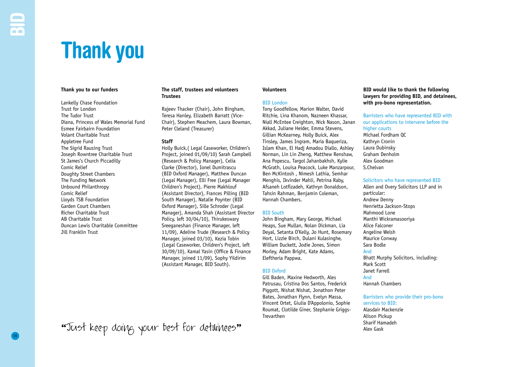## **Thank you**

#### **Thank you to our funders**

Lankelly Chase Foundation Trust for London The Tudor Trust Diana, Princess of Wales Memorial Fund Esmee Fairbairn Foundation Volant Charitable Trust Appletree Fund The Sigrid Rausing Trust Joseph Rowntree Charitable Trust St James's Church Piccadilly Comic Relief Doughty Street Chambers The Funding Network Unbound Philanthropy Comic Relief Lloyds TSB Foundation Garden Court Chambers Richer Charitable Trust AB Charitable Trust Duncan Lewis Charitable Committee Jill Franklin Trust

#### **The staff, trustees and volunteers Trustees**

Rajeev Thacker (Chair), John Bingham, Teresa Hanley, Elizabeth Barratt (Vice-Chair), Stephen Meachem, Laura Bowman, Peter Cleland (Treasurer)

#### **Staff**

Holly Buick,( Legal Caseworker, Children's Project, joined 01/09/10) Sarah Campbell (Research & Policy Manager), Celia Clarke (Director), Ionel Dumitrascu (BID Oxford Manager), Matthew Duncan (Legal Manager), Elli Free (Legal Manager Children's Project), Pierre Makhlouf (Assistant Director), Frances Pilling (BID South Manager), Natalie Poynter (BID Oxford Manager), Sille Schroder (Legal Manager), Amanda Shah (Assistant Director Policy, left 30/04/10), Thirukeswary Sreeganeshan (Finance Manager, left 11/09), Adeline Trude (Research & Policy Manager, joined 03/10), Kezia Tobin (Legal Caseworker, Children's Project, left 30/09/10), Kamal Yasin (Office & Finance Manager, joined 11/09), Sophy Yildirim (Assistant Manager, BID South).

## "Just keep doing your best for detainees" Alex Gask Sharif Hamadeh

#### **Volunteers**

#### BID London

Tony Goodfellow, Marion Walter, David Ritchie, Lina Khanom, Nazneen Khassar, Niall McEntee Creighton, Nick Nason, Janan Akkad, Juliane Heider, Emma Stevens, Gillian McKearney, Holly Buick, Alex Tinsley, James Ingram, Maria Baqueriza, Islam Khan, El Hadj Amadou Diallo, Ashley Norman, Lin Lin Zheng, Matthew Renshaw, Ana Popescu, Targol Jahanbakhsh, Kylie McGrath, Louisa Peacock, Luke Manzarpour, Ben McKintosh , Nimesh Lathia, Semhar Menghis, Ikvinder Mahli, Petrina Raby, Afsaneh Lotfizadeh, Kathryn Donaldson, Tahsin Rahman, Benjamin Coleman, Hannah Chambers.

#### BID South

John Bingham, Mary George, Michael Heaps, Sue Mullan, Nolan Dickman, Lia Deyal, Setanta O'Kelly, Jo Hunt, Rosemary Hort, Lizzie Birch, Dulani Kulasinghe, William Duckett, Jodie Jones, Simon Morley, Adam Bright, Kate Adams, Eleftheria Pappwa.

#### BID Oxford

Gill Baden, Maxine Hedworth, Ales Patrusau, Cristina Dos Santos, Frederick Piggott, Nishat Nishat, Jonathon Peter Bates, Jonathan Flynn, Evelyn Massa, Vincent Ortet, Giulia D'Appolonio, Sophie Roumat, Clotilde Giner, Stephanie Griggs-Trevarthen

#### **BID would like to thank the following lawyers for providing BID, and detainees, with pro-bono representation.**

Barristers who have represented BID with our applications to intervene before the higher courts Michael Fordham QC Kathryn Cronin Laura Dubinsky Graham Denholm Alex Goodman S.Chelvan

#### Solicitors who have represented BID

Allen and Overy Solicitors LLP and in particular: Andrew Denny Henrietta Jackson-Stops Mahmood Lone Manthi Wickramasooriya Alice Falconer Angeline Welsh Maurice Conway Sara Bodle And Bhatt Murphy Solicitors, including: Mark Scott Janet Farrell And Hannah Chambers

#### Barristers who provide their pro-bono services to BID: Alasdair Mackenzie Alison Pickup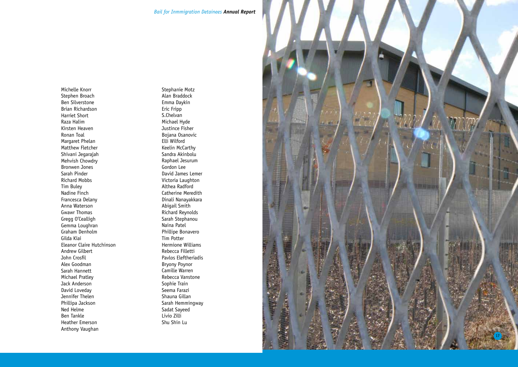Michelle Knorr Stephen Broach Ben Silverstone Brian Richardson Harriet Short Raza Halim Kirsten Heaven Ronan Toal Margaret Phelan Matthew Fletcher Shivani Jegarajah Mehvish Chowdry Bronwen Jones Sarah Pinder Richard Mobbs Tim Buley Nadine Finch Francesca Delany Anna Waterson Gwawr Thomas Gregg O'Cealligh Gemma Loughran Graham Denholm Gilda Kiai Eleanor Claire Hutchinson Andrew Gilbert John Crosfil Alex Goodman Sarah Hannett Michael Pratley Jack Anderson David Loveday Jennifer Thelen Phillipa Jackson Ned Helme Ben Tankle Heather Emerson Anthony Vaughan

Stephanie Motz Alan Braddock Emma Daykin Eric Fripp S.Chelvan Michael Hyde Justince Fisher Bojana Osanovic Elli Wilford Keelin McCarthy Sandra Akinbolu Raphael Jesurum Gordon Lee David James Lemer Victoria Laughton Althea Radford Catherine Meredith Dinali Nanayakkara Abigail Smith Richard Reynolds Sarah Stephanou Naina Patel Phillipe Bonavero Tim Potter Hermione Williams Rebecca Filletti Pavlos Eleftheriadis Bryony Poynor Camille Warren Rebecca Vanstone Sophie Train Seema Farazi Shauna Gillan Sarah Hemmingway Sadat Sayeed Livio Zilli Shu Shin Lu